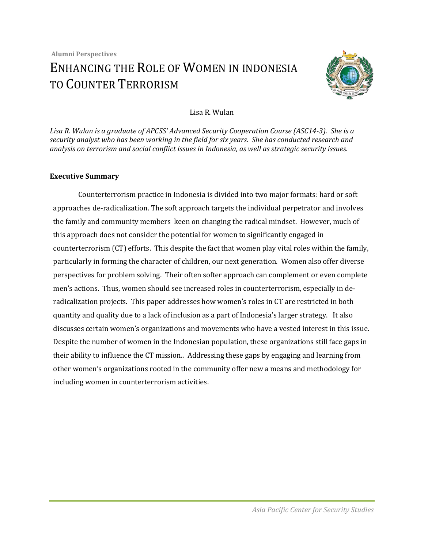

## Lisa R. Wulan

*Lisa R. Wulan is a graduate of APCSS' Advanced Security Cooperation Course (ASC14-3). She is a security analyst who has been working in the field for six years. She has conducted research and analysis on terrorism and social conflict issues in Indonesia, as well as strategic security issues.*

## **Executive Summary**

Counterterrorism practice in Indonesia is divided into two major formats: hard or soft approaches de-radicalization. The soft approach targets the individual perpetrator and involves the family and community members keen on changing the radical mindset. However, much of this approach does not consider the potential for women to significantly engaged in counterterrorism (CT) efforts. This despite the fact that women play vital roles within the family, particularly in forming the character of children, our next generation. Women also offer diverse perspectives for problem solving. Their often softer approach can complement or even complete men's actions. Thus, women should see increased roles in counterterrorism, especially in deradicalization projects. This paper addresses how women's roles in CT are restricted in both quantity and quality due to a lack of inclusion as a part of Indonesia's larger strategy. It also discusses certain women's organizations and movements who have a vested interest in this issue. Despite the number of women in the Indonesian population, these organizations still face gaps in their ability to influence the CT mission.. Addressing these gaps by engaging and learning from other women's organizations rooted in the community offer new a means and methodology for including women in counterterrorism activities.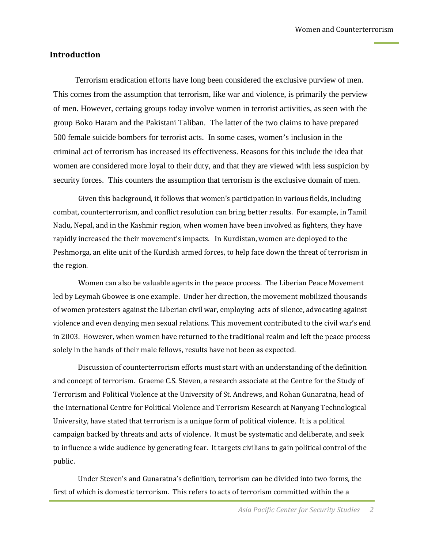### **Introduction**

Terrorism eradication efforts have long been considered the exclusive purview of men. This comes from the assumption that terrorism, like war and violence, is primarily the perview of men. However, certaing groups today involve women in terrorist activities, as seen with the group Boko Haram and the Pakistani Taliban. The latter of the two claims to have prepared 500 female suicide bombers for terrorist acts. In some cases, women's inclusion in the criminal act of terrorism has increased its effectiveness. Reasons for this include the idea that women are considered more loyal to their duty, and that they are viewed with less suspicion by security forces. This counters the assumption that terrorism is the exclusive domain of men.

Given this background, it follows that women's participation in various fields, including combat, counterterrorism, and conflict resolution can bring better results. For example, in Tamil Nadu, Nepal, and in the Kashmir region, when women have been involved as fighters, they have rapidly increased the their movement's impacts. In Kurdistan, women are deployed to the Peshmorga, an elite unit of the Kurdish armed forces, to help face down the threat of terrorism in the region.

Women can also be valuable agents in the peace process. The Liberian Peace Movement led by Leymah Gbowee is one example. Under her direction, the movement mobilized thousands of women protesters against the Liberian civil war, employing acts of silence, advocating against violence and even denying men sexual relations. This movement contributed to the civil war's end in 2003. However, when women have returned to the traditional realm and left the peace process solely in the hands of their male fellows, results have not been as expected.

Discussion of counterterrorism efforts must start with an understanding of the definition and concept of terrorism. Graeme C.S. Steven, a research associate at the Centre for the Study of Terrorism and Political Violence at the University of St. Andrews, and Rohan Gunaratna, head of the International Centre for Political Violence and Terrorism Research at Nanyang Technological University, have stated that terrorism is a unique form of political violence. It is a political campaign backed by threats and acts of violence. It must be systematic and deliberate, and seek to influence a wide audience by generating fear. It targets civilians to gain political control of the public.

Under Steven's and Gunaratna's definition, terrorism can be divided into two forms, the first of which is domestic terrorism. This refers to acts of terrorism committed within the a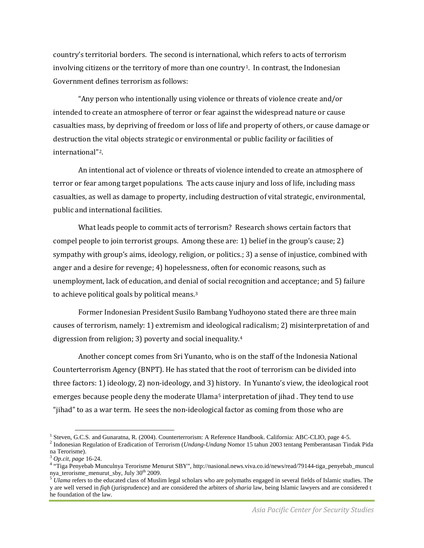country's territorial borders. The second is international, which refers to acts of terrorism involving citizens or the territory of more than one country<sup>1</sup>. In contrast, the Indonesian Government defines terrorism as follows:

"Any person who intentionally using violence or threats of violence create and/or intended to create an atmosphere of terror or fear against the widespread nature or cause casualties mass, by depriving of freedom or loss of life and property of others, or cause damage or destruction the vital objects strategic or environmental or public facility or facilities of international"[2](#page-2-1).

An intentional act of violence or threats of violence intended to create an atmosphere of terror or fear among target populations. The acts cause injury and loss of life, including mass casualties, as well as damage to property, including destruction of vital strategic, environmental, public and international facilities.

What leads people to commit acts of terrorism? Research shows certain factors that compel people to join terrorist groups. Among these are: 1) belief in the group's cause; 2) sympathy with group's aims, ideology, religion, or politics.; 3) a sense of injustice, combined with anger and a desire for revenge; 4) hopelessness, often for economic reasons, such as unemployment, lack of education, and denial of social recognition and acceptance; and 5) failure to achieve political goals by political means.[3](#page-2-2)

Former Indonesian President Susilo Bambang Yudhoyono stated there are three main causes of terrorism, namely: 1) extremism and ideological radicalism; 2) misinterpretation of and digression from religion; 3) poverty and social inequality.[4](#page-2-3)

Another concept comes from Sri Yunanto, who is on the staff of the Indonesia National Counterterrorism Agency (BNPT). He has stated that the root of terrorism can be divided into three factors: 1) ideology, 2) non-ideology, and 3) history. In Yunanto's view, the ideological root emerges because people deny the moderate Ulama<sup>[5](#page-2-4)</sup> interpretation of jihad. They tend to use "jihad" to as a war term. He sees the non-ideological factor as coming from those who are

<span id="page-2-0"></span><sup>&</sup>lt;sup>1</sup> Steven, G.C.S. and Gunaratna, R. (2004). Counterterrorism: A Reference Handbook. California: ABC-CLIO, page 4-5.<br><sup>2</sup> Indonesian Regulation of Eradication of Terrorism (*Undang-Undang* Nomor 15 tahun 2003 tentang Pembe

<span id="page-2-1"></span>na Terorisme).<br> $3$  Op.cit, page 16-24.

<span id="page-2-3"></span><span id="page-2-2"></span><sup>&</sup>lt;sup>4</sup> "Tiga Penyebab Munculnya Terorisme Menurut SBY", http://nasional.news.viva.co.id/news/read/79144-tiga\_penyebab\_muncul nya\_terorisme\_menurut\_sby, July 30<sup>th</sup> 2009.<br><sup>5</sup> *Ulama* refers to the educated class of Muslim legal scholars who are polymaths engaged in several fields of Islamic studies. The

<span id="page-2-4"></span>y are well versed in *fiqh* (jurisprudence) and are considered the arbiters of *sharia* law, being Islamic lawyers and are considered t he foundation of the law.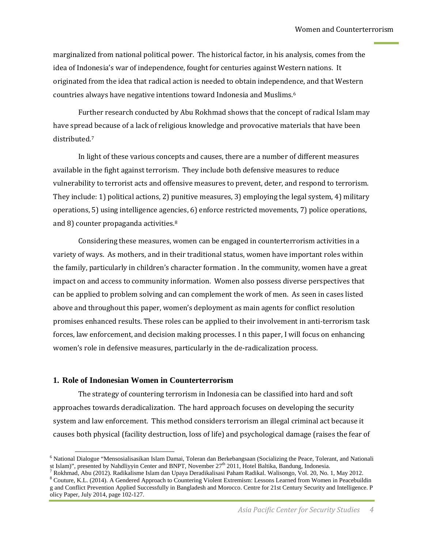marginalized from national political power. The historical factor, in his analysis, comes from the idea of Indonesia's war of independence, fought for centuries against Western nations. It originated from the idea that radical action is needed to obtain independence, and that Western countries always have negative intentions toward Indonesia and Muslims.[6](#page-3-0)

Further research conducted by Abu Rokhmad shows that the concept of radical Islam may have spread because of a lack of religious knowledge and provocative materials that have been distributed.[7](#page-3-1)

In light of these various concepts and causes, there are a number of different measures available in the fight against terrorism. They include both defensive measures to reduce vulnerability to terrorist acts and offensive measures to prevent, deter, and respond to terrorism. They include: 1) political actions, 2) punitive measures, 3) employing the legal system, 4) military operations, 5) using intelligence agencies, 6) enforce restricted movements, 7) police operations, and 8) counter propaganda activities.[8](#page-3-2)

Considering these measures, women can be engaged in counterterrorism activities in a variety of ways. As mothers, and in their traditional status, women have important roles within the family, particularly in children's character formation . In the community, women have a great impact on and access to community information. Women also possess diverse perspectives that can be applied to problem solving and can complement the work of men. As seen in cases listed above and throughout this paper, women's deployment as main agents for conflict resolution promises enhanced results. These roles can be applied to their involvement in anti-terrorism task forces, law enforcement, and decision making processes. I n this paper, I will focus on enhancing women's role in defensive measures, particularly in the de-radicalization process.

#### **1. Role of Indonesian Women in Counterterrorism**

The strategy of countering terrorism in Indonesia can be classified into hard and soft approaches towards deradicalization. The hard approach focuses on developing the security system and law enforcement. This method considers terrorism an illegal criminal act because it causes both physical (facility destruction, loss of life) and psychological damage (raises the fear of

<span id="page-3-0"></span><sup>&</sup>lt;sup>6</sup> National Dialogue "Mensosialisasikan Islam Damai, Toleran dan Berkebangsaan (Socializing the Peace, Tolerant, and Nationali st Islam)", presented by Nahdliyyin Center and BNPT, November  $27<sup>th</sup>$  2011, Hotel Baltika

<span id="page-3-1"></span>Rokhmad, Abu (2012). Radikalisme Islam dan Upaya Deradikalisasi Paham Radikal. Walisongo, Vol. 20, No. 1, May 2012.

<span id="page-3-2"></span><sup>8</sup> Couture, K.L. (2014). A Gendered Approach to Countering Violent Extremism: Lessons Learned from Women in Peacebuildin g and Conflict Prevention Applied Successfully in Bangladesh and Morocco. Centre for 21st Century Security and Intelligence. P olicy Paper, July 2014, page 102-127.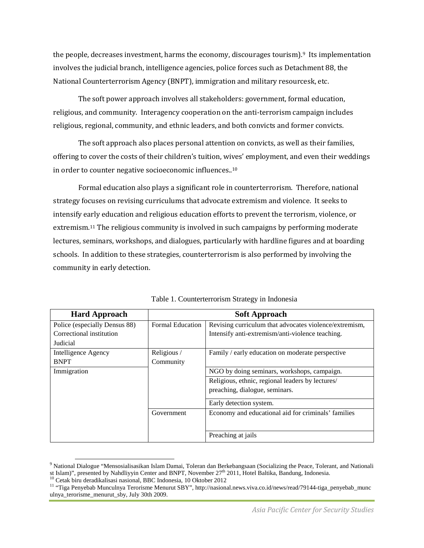the people, decreases investment, harms the economy, discourages tourism).<sup>[9](#page-4-0)</sup> Its implementation involves the judicial branch, intelligence agencies, police forces such as Detachment 88, the National Counterterrorism Agency (BNPT), immigration and military resourcesk, etc.

The soft power approach involves all stakeholders: government, formal education, religious, and community. Interagency cooperation on the anti-terrorism campaign includes religious, regional, community, and ethnic leaders, and both convicts and former convicts.

The soft approach also places personal attention on convicts, as well as their families, offering to cover the costs of their children's tuition, wives' employment, and even their weddings in order to counter negative socioeconomic influences..[10](#page-4-1)

Formal education also plays a significant role in counterterrorism. Therefore, national strategy focuses on revising curriculums that advocate extremism and violence. It seeks to intensify early education and religious education efforts to prevent the terrorism, violence, or extremism.[11](#page-4-2) The religious community is involved in such campaigns by performing moderate lectures, seminars, workshops, and dialogues, particularly with hardline figures and at boarding schools. In addition to these strategies, counterterrorism is also performed by involving the community in early detection.

| <b>Hard Approach</b>          | <b>Soft Approach</b>    |                                                        |  |
|-------------------------------|-------------------------|--------------------------------------------------------|--|
| Police (especially Densus 88) | <b>Formal Education</b> | Revising curriculum that advocates violence/extremism, |  |
| Correctional institution      |                         | Intensify anti-extremism/anti-violence teaching.       |  |
| Judicial                      |                         |                                                        |  |
| Intelligence Agency           | Religious/              | Family / early education on moderate perspective       |  |
| <b>BNPT</b>                   | Community               |                                                        |  |
| Immigration                   |                         | NGO by doing seminars, workshops, campaign.            |  |
|                               |                         | Religious, ethnic, regional leaders by lectures/       |  |
|                               |                         | preaching, dialogue, seminars.                         |  |
|                               |                         | Early detection system.                                |  |
|                               | Government              | Economy and educational aid for criminals' families    |  |
|                               |                         |                                                        |  |
|                               |                         | Preaching at jails                                     |  |

Table 1. Counterterrorism Strategy in Indonesia

<span id="page-4-0"></span><sup>9</sup> National Dialogue "Mensosialisasikan Islam Damai, Toleran dan Berkebangsaan (Socializing the Peace, Tolerant, and Nationali st Islam)", presented by Nahdliyyin Center and BNPT, November 27<sup>th</sup> 2011, Hotel Baltika, Bandung, Indonesia.<br><sup>10</sup> Cetak biru deradikalisasi nasional, BBC Indonesia, 10 Oktober 2012<br><sup>11</sup> "Tiga Penyebab Munculnya Terorisme

<span id="page-4-1"></span>

<span id="page-4-2"></span>ulnya\_terorisme\_menurut\_sby, July 30th 2009.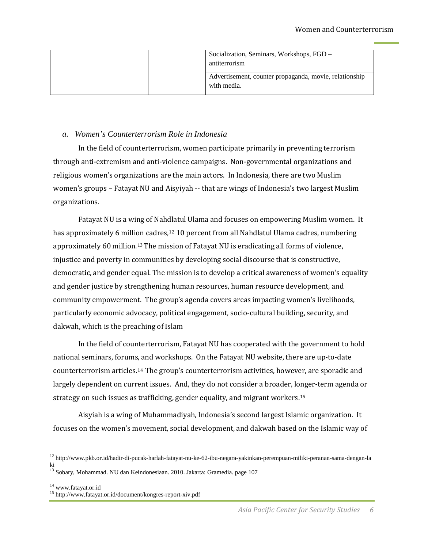| Socialization, Seminars, Workshops, FGD -<br>antiterrorism            |
|-----------------------------------------------------------------------|
| Advertisement, counter propaganda, movie, relationship<br>with media. |

## *a. Women's Counterterrorism Role in Indonesia*

In the field of counterterrorism, women participate primarily in preventing terrorism through anti-extremism and anti-violence campaigns. Non-governmental organizations and religious women's organizations are the main actors. In Indonesia, there are two Muslim women's groups – Fatayat NU and Aisyiyah -- that are wings of Indonesia's two largest Muslim organizations.

Fatayat NU is a wing of Nahdlatul Ulama and focuses on empowering Muslim women. It has approximately 6 million cadres,<sup>12</sup> 10 percent from all Nahdlatul Ulama cadres, numbering approximately 60 million.[13](#page-5-1)The mission of Fatayat NU is eradicating all forms of violence, injustice and poverty in communities by developing social discourse that is constructive, democratic, and gender equal. The mission is to develop a critical awareness of women's equality and gender justice by strengthening human resources, human resource development, and community empowerment. The group's agenda covers areas impacting women's livelihoods, particularly economic advocacy, political engagement, socio-cultural building, security, and dakwah, which is the preaching of Islam

In the field of counterterrorism, Fatayat NU has cooperated with the government to hold national seminars, forums, and workshops. On the Fatayat NU website, there are up-to-date counterterrorism articles.[14](#page-5-2) The group's counterterrorism activities, however, are sporadic and largely dependent on current issues. And, they do not consider a broader, longer-term agenda or strategy on such issues as trafficking, gender equality, and migrant workers.<sup>[15](#page-5-3)</sup>

Aisyiah is a wing of Muhammadiyah, Indonesia's second largest Islamic organization. It focuses on the women's movement, social development, and dakwah based on the Islamic way of

<span id="page-5-0"></span><sup>12</sup> http://www.pkb.or.id/hadir-di-pucak-harlah-fatayat-nu-ke-62-ibu-negara-yakinkan-perempuan-miliki-peranan-sama-dengan-la ki

<span id="page-5-1"></span><sup>&</sup>lt;sup>13</sup> Sobary, Mohammad. NU dan Keindonesiaan. 2010. Jakarta: Gramedia. page 107

<span id="page-5-3"></span><span id="page-5-2"></span><sup>&</sup>lt;sup>14</sup> www.fatayat.or.id<br><sup>15</sup> http://www.fatayat.or.id/document/kongres-report-xiv.pdf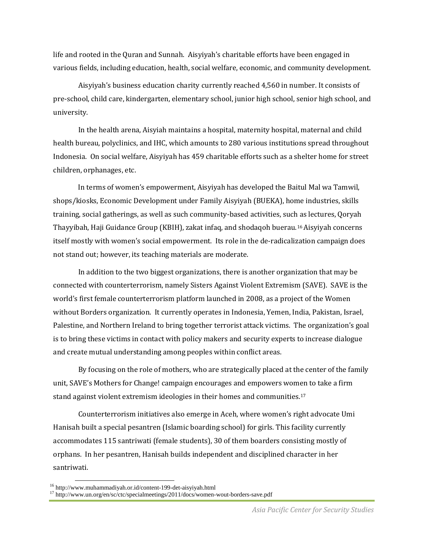life and rooted in the Quran and Sunnah. Aisyiyah's charitable efforts have been engaged in various fields, including education, health, social welfare, economic, and community development.

Aisyiyah's business education charity currently reached 4,560 in number. It consists of pre-school, child care, kindergarten, elementary school, junior high school, senior high school, and university.

In the health arena, Aisyiah maintains a hospital, maternity hospital, maternal and child health bureau, polyclinics, and IHC, which amounts to 280 various institutions spread throughout Indonesia. On social welfare, Aisyiyah has 459 charitable efforts such as a shelter home for street children, orphanages, etc.

In terms of women's empowerment, Aisyiyah has developed the Baitul Mal wa Tamwil, shops/kiosks, Economic Development under Family Aisyiyah (BUEKA), home industries, skills training, social gatherings, as well as such community-based activities, such as lectures, Qoryah Thayyibah, Haji Guidance Group (KBIH), zakat infaq, and shodaqoh buerau.[16](#page-6-0)Aisyiyah concerns itself mostly with women's social empowerment. Its role in the de-radicalization campaign does not stand out; however, its teaching materials are moderate.

In addition to the two biggest organizations, there is another organization that may be connected with counterterrorism, namely Sisters Against Violent Extremism (SAVE). SAVE is the world's first female counterterrorism platform launched in 2008, as a project of the Women without Borders organization. It currently operates in Indonesia, Yemen, India, Pakistan, Israel, Palestine, and Northern Ireland to bring together terrorist attack victims. The organization's goal is to bring these victims in contact with policy makers and security experts to increase dialogue and create mutual understanding among peoples within conflict areas.

By focusing on the role of mothers, who are strategically placed at the center of the family unit, SAVE's Mothers for Change! campaign encourages and empowers women to take a firm stand against violent extremism ideologies in their homes and communities.[17](#page-6-1)

Counterterrorism initiatives also emerge in Aceh, where women's right advocate Umi Hanisah built a special pesantren (Islamic boarding school) for girls. This facility currently accommodates 115 santriwati (female students), 30 of them boarders consisting mostly of orphans. In her pesantren, Hanisah builds independent and disciplined character in her santriwati.

<span id="page-6-1"></span><span id="page-6-0"></span><sup>&</sup>lt;sup>16</sup> http://www.muhammadiyah.or.id/content-199-det-aisyiyah.html<br><sup>17</sup> http://www.un.org/en/sc/ctc/specialmeetings/2011/docs/women-wout-borders-save.pdf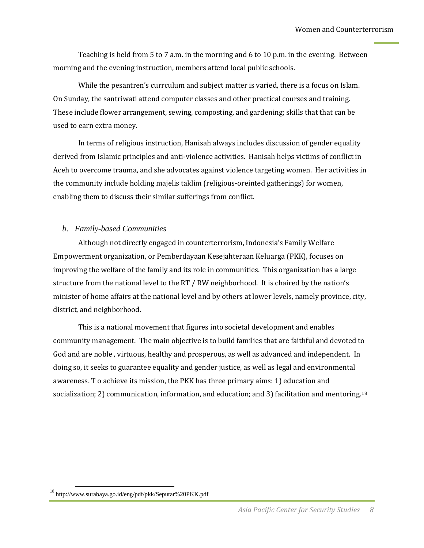Teaching is held from 5 to 7 a.m. in the morning and 6 to 10 p.m. in the evening. Between morning and the evening instruction, members attend local public schools.

While the pesantren's currculum and subject matter is varied, there is a focus on Islam. On Sunday, the santriwati attend computer classes and other practical courses and training. These include flower arrangement, sewing, composting, and gardening; skills that that can be used to earn extra money.

In terms of religious instruction, Hanisah always includes discussion of gender equality derived from Islamic principles and anti-violence activities. Hanisah helps victims of conflict in Aceh to overcome trauma, and she advocates against violence targeting women. Her activities in the community include holding majelis taklim (religious-oreinted gatherings) for women, enabling them to discuss their similar sufferings from conflict.

## *b. Family-based Communities*

Although not directly engaged in counterterrorism, Indonesia's Family Welfare Empowerment organization, or Pemberdayaan Kesejahteraan Keluarga (PKK), focuses on improving the welfare of the family and its role in communities. This organization has a large structure from the national level to the RT / RW neighborhood. It is chaired by the nation's minister of home affairs at the national level and by others at lower levels, namely province, city, district, and neighborhood.

This is a national movement that figures into societal development and enables community management. The main objective is to build families that are faithful and devoted to God and are noble , virtuous, healthy and prosperous, as well as advanced and independent. In doing so, it seeks to guarantee equality and gender justice, as well as legal and environmental awareness. T o achieve its mission, the PKK has three primary aims: 1) education and socialization; 2) communication, information, and education; and 3) facilitation and mentoring.<sup>[18](#page-7-0)</sup>

<span id="page-7-0"></span><sup>18</sup> http://www.surabaya.go.id/eng/pdf/pkk/Seputar%20PKK.pdf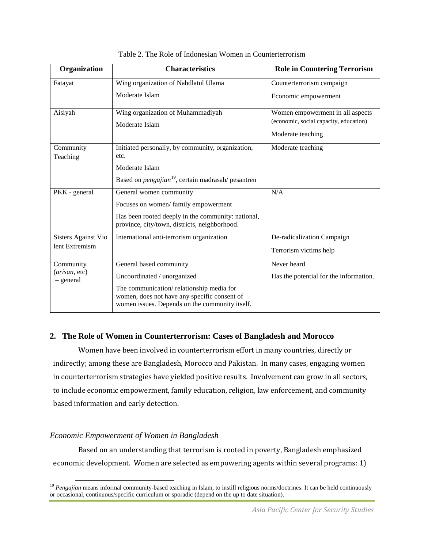| Organization                 | <b>Characteristics</b>                                                                         | <b>Role in Countering Terrorism</b>    |
|------------------------------|------------------------------------------------------------------------------------------------|----------------------------------------|
| Fatayat                      | Wing organization of Nahdlatul Ulama                                                           | Counterterrorism campaign              |
|                              | Moderate Islam                                                                                 | Economic empowerment                   |
| Aisiyah                      | Wing organization of Muhammadiyah                                                              | Women empowerment in all aspects       |
|                              | Moderate Islam                                                                                 | (economic, social capacity, education) |
|                              |                                                                                                | Moderate teaching                      |
| Community                    | Initiated personally, by community, organization,                                              | Moderate teaching                      |
| Teaching                     | etc.                                                                                           |                                        |
|                              | Moderate Islam                                                                                 |                                        |
|                              | Based on <i>pengajian</i> <sup>19</sup> , certain madrasah/ pesantren                          |                                        |
| PKK - general                | General women community                                                                        | N/A                                    |
|                              | Focuses on women/family empowerment                                                            |                                        |
|                              | Has been rooted deeply in the community: national,                                             |                                        |
|                              | province, city/town, districts, neighborhood.                                                  |                                        |
| <b>Sisters Against Vio</b>   | International anti-terrorism organization                                                      | De-radicalization Campaign             |
| lent Extremism               |                                                                                                | Terrorism victims help                 |
| Community                    | General based community                                                                        | Never heard                            |
| (arisan, etc)<br>$-$ general | Uncoordinated / unorganized                                                                    | Has the potential for the information. |
|                              | The communication/relationship media for                                                       |                                        |
|                              | women, does not have any specific consent of<br>women issues. Depends on the community itself. |                                        |

Table 2. The Role of Indonesian Women in Counterterrorism

# **2. The Role of Women in Counterterrorism: Cases of Bangladesh and Morocco**

Women have been involved in counterterrorism effort in many countries, directly or indirectly; among these are Bangladesh, Morocco and Pakistan. In many cases, engaging women in counterterrorism strategies have yielded positive results. Involvement can grow in all sectors, to include economic empowerment, family education, religion, law enforcement, and community based information and early detection.

## *Economic Empowerment of Women in Bangladesh*

Based on an understanding that terrorism is rooted in poverty, Bangladesh emphasized economic development. Women are selected as empowering agents within several programs: 1)

<span id="page-8-0"></span><sup>&</sup>lt;sup>19</sup> *Pengajian* means informal community-based teaching in Islam, to instill religious norms/doctrines. It can be held continuously or occasional, continuous/specific curriculum or sporadic (depend on the up to date situation).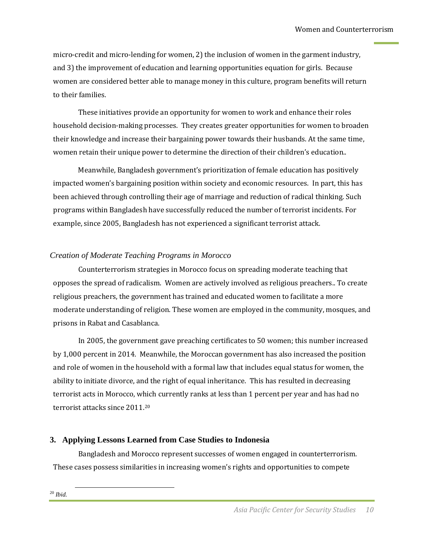micro-credit and micro-lending for women, 2) the inclusion of women in the garment industry, and 3) the improvement of education and learning opportunities equation for girls. Because women are considered better able to manage money in this culture, program benefits will return to their families.

These initiatives provide an opportunity for women to work and enhance their roles household decision-making processes. They creates greater opportunities for women to broaden their knowledge and increase their bargaining power towards their husbands. At the same time, women retain their unique power to determine the direction of their children's education..

Meanwhile, Bangladesh government's prioritization of female education has positively impacted women's bargaining position within society and economic resources. In part, this has been achieved through controlling their age of marriage and reduction of radical thinking. Such programs within Bangladesh have successfully reduced the number of terrorist incidents. For example, since 2005, Bangladesh has not experienced a significant terrorist attack.

# *Creation of Moderate Teaching Programs in Morocco*

Counterterrorism strategies in Morocco focus on spreading moderate teaching that opposes the spread of radicalism. Women are actively involved as religious preachers.. To create religious preachers, the government has trained and educated women to facilitate a more moderate understanding of religion. These women are employed in the community, mosques, and prisons in Rabat and Casablanca.

In 2005, the government gave preaching certificates to 50 women; this number increased by 1,000 percent in 2014. Meanwhile, the Moroccan government has also increased the position and role of women in the household with a formal law that includes equal status for women, the ability to initiate divorce, and the right of equal inheritance. This has resulted in decreasing terrorist acts in Morocco, which currently ranks at less than 1 percent per year and has had no terrorist attacks since 2011.[20](#page-9-0)

# **3. Applying Lessons Learned from Case Studies to Indonesia**

<span id="page-9-0"></span>Bangladesh and Morocco represent successes of women engaged in counterterrorism. These cases possess similarities in increasing women's rights and opportunities to compete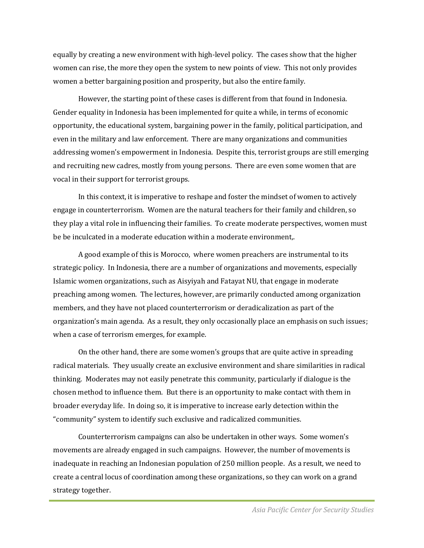equally by creating a new environment with high-level policy. The cases show that the higher women can rise, the more they open the system to new points of view. This not only provides women a better bargaining position and prosperity, but also the entire family.

However, the starting point of these cases is different from that found in Indonesia. Gender equality in Indonesia has been implemented for quite a while, in terms of economic opportunity, the educational system, bargaining power in the family, political participation, and even in the military and law enforcement. There are many organizations and communities addressing women's empowerment in Indonesia. Despite this, terrorist groups are still emerging and recruiting new cadres, mostly from young persons. There are even some women that are vocal in their support for terrorist groups.

In this context, it is imperative to reshape and foster the mindset of women to actively engage in counterterrorism. Women are the natural teachers for their family and children, so they play a vital role in influencing their families. To create moderate perspectives, women must be be inculcated in a moderate education within a moderate environment,.

A good example of this is Morocco, where women preachers are instrumental to its strategic policy. In Indonesia, there are a number of organizations and movements, especially Islamic women organizations, such as Aisyiyah and Fatayat NU, that engage in moderate preaching among women. The lectures, however, are primarily conducted among organization members, and they have not placed counterterrorism or deradicalization as part of the organization's main agenda. As a result, they only occasionally place an emphasis on such issues; when a case of terrorism emerges, for example.

On the other hand, there are some women's groups that are quite active in spreading radical materials. They usually create an exclusive environment and share similarities in radical thinking. Moderates may not easily penetrate this community, particularly if dialogue is the chosen method to influence them. But there is an opportunity to make contact with them in broader everyday life. In doing so, it is imperative to increase early detection within the "community" system to identify such exclusive and radicalized communities.

Counterterrorism campaigns can also be undertaken in other ways. Some women's movements are already engaged in such campaigns. However, the number of movements is inadequate in reaching an Indonesian population of 250 million people. As a result, we need to create a central locus of coordination among these organizations, so they can work on a grand strategy together.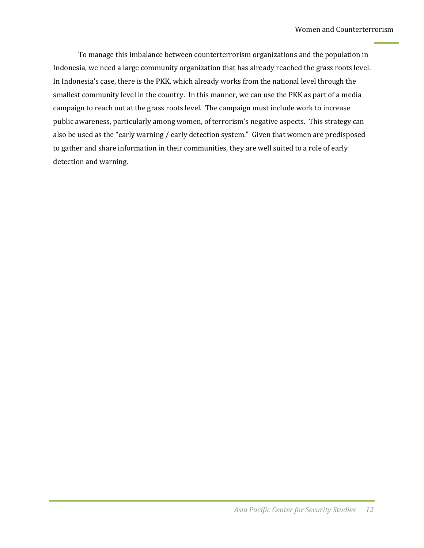To manage this imbalance between counterterrorism organizations and the population in Indonesia, we need a large community organization that has already reached the grass roots level. In Indonesia's case, there is the PKK, which already works from the national level through the smallest community level in the country. In this manner, we can use the PKK as part of a media campaign to reach out at the grass roots level. The campaign must include work to increase public awareness, particularly among women, of terrorism's negative aspects. This strategy can also be used as the "early warning / early detection system." Given that women are predisposed to gather and share information in their communities, they are well suited to a role of early detection and warning.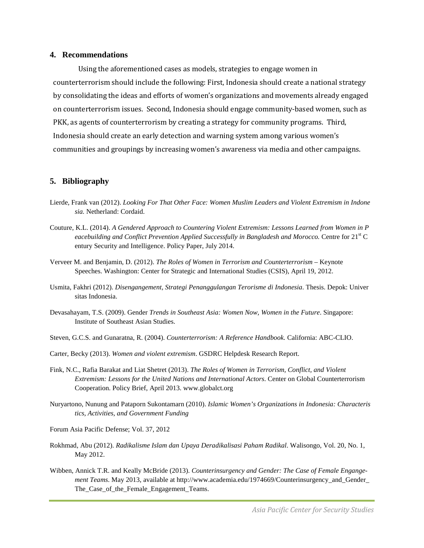#### **4. Recommendations**

Using the aforementioned cases as models, strategies to engage women in counterterrorism should include the following: First, Indonesia should create a national strategy by consolidating the ideas and efforts of women's organizations and movements already engaged on counterterrorism issues. Second, Indonesia should engage community-based women, such as PKK, as agents of counterterrorism by creating a strategy for community programs. Third, Indonesia should create an early detection and warning system among various women's communities and groupings by increasing women's awareness via media and other campaigns.

#### **5. Bibliography**

- Lierde, Frank van (2012). *Looking For That Other Face: Women Muslim Leaders and Violent Extremism in Indone sia.* Netherland: Cordaid.
- Couture, K.L. (2014). *A Gendered Approach to Countering Violent Extremism: Lessons Learned from Women in P eacebuilding and Conflict Prevention Applied Successfully in Bangladesh and Morocco.* Centre for 21<sup>st</sup> C entury Security and Intelligence. Policy Paper, July 2014.
- Verveer M. and Benjamin, D. (2012). *The Roles of Women in Terrorism and Counterterrorism* Keynote Speeches. Washington: Center for Strategic and International Studies (CSIS), April 19, 2012.
- Usmita, Fakhri (2012). *Disengangement, Strategi Penanggulangan Terorisme di Indonesia*. Thesis. Depok: Univer sitas Indonesia.
- Devasahayam, T.S. (2009). Gender *Trends in Southeast Asia: Women Now, Women in the Future*. Singapore: Institute of Southeast Asian Studies.
- Steven, G.C.S. and Gunaratna, R. (2004). *Counterterrorism: A Reference Handbook.* California: ABC-CLIO.
- Carter, Becky (2013). *Women and violent extremism*. GSDRC Helpdesk Research Report.
- Fink, N.C., Rafia Barakat and Liat Shetret (2013). *The Roles of Women in Terrorism, Conflict, and Violent Extremism: Lessons for the United Nations and International Actors*. Center on Global Counterterrorism Cooperation. Policy Brief, April 2013. www.globalct.org
- Nuryartono, Nunung and Pataporn Sukontamarn (2010). *Islamic Women's Organizations in Indonesia: Characteris tics, Activities, and Government Funding*
- Forum Asia Pacific Defense; Vol. 37, 2012
- Rokhmad, Abu (2012). *Radikalisme Islam dan Upaya Deradikalisasi Paham Radikal*. Walisongo, Vol. 20, No. 1, May 2012.
- Wibben, Annick T.R. and Keally McBride (2013). *Counterinsurgency and Gender: The Case of Female Engangement Teams*. May 2013, available at http://www.academia.edu/1974669/Counterinsurgency\_and\_Gender\_ The Case of the Female Engagement Teams.